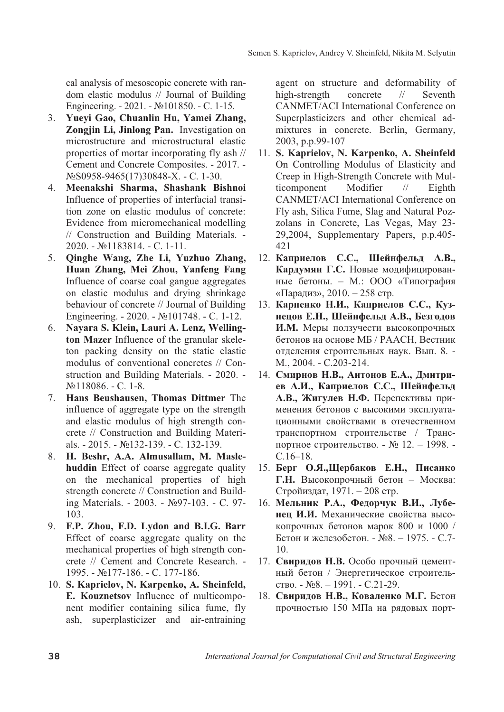cal analysis of mesoscopic concrete with random elastic modulus // Journal of Building Engineering. - 2021. -  $\mathcal{N}$ <sup>0</sup>101850. - C. 1-15.

- 3. Yuevi Gao, Chuanlin Hu, Yamei Zhang, **Zongjin Li, Jinlong Pan.** Investigation on microstructure and microstructural elastic properties of mortar incorporating fly ash // Cement and Concrete Composites. - 2017. - NΩ6958-9465(17)30848-X. - C. 1-30.
- 4. Meenakshi Sharma, Shashank Bishnoi Influence of properties of interfacial transition zone on elastic modulus of concrete: Evidence from micromechanical modelling // Construction and Building Materials. -  $2020. - N<sub>2</sub>1183814. - C. 1-11.$
- 5. **Qinghe Wang, Zhe Li, Yuzhuo Zhang, Huan Zhang, Mei Zhou, Yanfeng Fang** Influence of coarse coal gangue aggregates on elastic modulus and drying shrinkage behaviour of concrete // Journal of Building Engineering. - 2020. -  $\mathcal{N}$ . 101748. - C. 1-12.
- 6. **Nayara S. Klein, Lauri A. Lenz, Welling**ton Mazer Influence of the granular skeleton packing density on the static elastic modulus of conventional concretes // Construction and Building Materials. - 2020. -  $N<sub>2</sub>118086. - C. 1-8.$
- 7. **Hans Beushausen, Thomas Dittmer** The influence of aggregate type on the strength and elastic modulus of high strength concrete // Construction and Building Materials. - 2015. - No. 132-139. - C. 132-139.
- 8. **H. Beshr, A.A. Almusallam, M. Maslehuddin** Effect of coarse aggregate quality on the mechanical properties of high strength concrete // Construction and Building Materials. - 2003. - №97-103. - С. 97-103.
- 9. F.P. Zhou, F.D. Lydon and B.I.G. Barr Effect of coarse aggregate quality on the mechanical properties of high strength concrete // Cement and Concrete Research. - 1995. - №177-186. - С. 177-186.
- 10. S. Kaprielov, N. Karpenko, A. Sheinfeld, **E. Kouznetsov** Influence of multicomponent modifier containing silica fume, fly ash, superplasticizer and air-entraining

agent on structure and deformability of high-strength concrete // Seventh CANMET/ACI International Conference on Superplasticizers and other chemical admixtures in concrete. Berlin, Germany, 2003, p.p.99-107

- 11. S. Kaprielov, N. Karpenko, A. Sheinfeld On Controlling Modulus of Elasticity and Creep in High-Strength Concrete with Multicomponent Modifier // Eighth CANMET/ACI International Conference on Fly ash, Silica Fume, Slag and Natural Pozzolans in Concrete, Las Vegas, May 23- 29,2004, Supplementary Papers, p.p.405-421
- 12. Каприелов С.С., Шейнфельд А.В., Кардумян Г.С. Новые модифицированные бетоны. - М.: ООО «Типография «Парадиз»,  $2010 - 258$  стр.
- 13. Карпенко Н.И., Каприелов С.С., Кузнецов Е.Н., Шейнфельд А.В., Безгодов **И.М.** Меры ползучести высокопрочных бетонов на основе МБ / РААСН, Вестник отделения строительных наук. Вып. 8. -M., 2004. - C.203-214.
- 14. Смирнов Н.В., Антонов Е.А., Дмитриев А.И., Каприелов С.С., Шейнфельд А.В., Жигулев Н.Ф. Перспективы применения бетонов с высокими эксплуатационными свойствами в отечественном транспортном строительстве / Транспортное строительство. - № 12. – 1998. - $C.16-18.$
- 15. **Берг О.Я.,Шербаков Е.Н., Писанко** Г.Н. Высокопрочный бетон - Москва: Стройиздат, 1971. – 208 стр.
- 16. Мельник Р.А., Федорчук В.И., Лубе**неп И.И.** Механические свойства высокопрочных бетонов марок 800 и 1000 / Бетон и железобетон. - №8. - 1975. - С.7-10.
- 17. Свирилов Н.В. Особо прочный цементный бетон / Энергетическое строитель- $CTBO. - N<sub>2</sub>8. - 1991. - C.21-29.$
- 18. Свиридов Н.В., Коваленко М.Г. Бетон прочностью 150 МПа на рядовых порт-